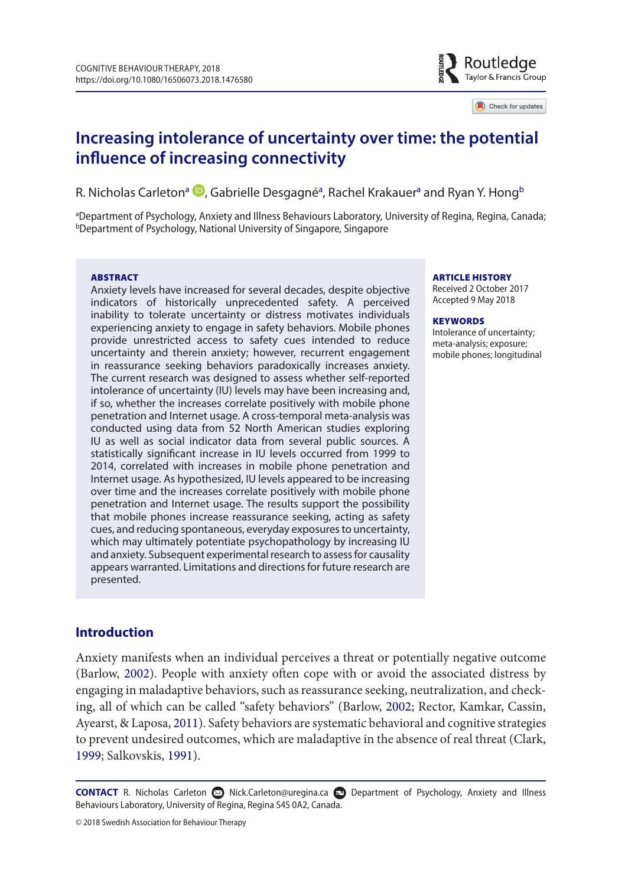

Check for updates

# **Increasing intolerance of uncertainty over time: the potential influence of increasing connectivity**

R. Nicholas Carleton<sup>a (D</sup>, Gabrielle Desgagné<sup>a</sup>, Rachel Krakauer<sup>a</sup> and Ryan Y. Hong<sup>b</sup>

aDepartment of Psychology, Anxiety and Illness Behaviours Laboratory, University of Regina, Regina, Canada; **bDepartment of Psychology, National University of Singapore, Singapore** 

#### **ABSTRACT**

Anxiety levels have increased for several decades, despite objective indicators of historically unprecedented safety. A perceived inability to tolerate uncertainty or distress motivates individuals experiencing anxiety to engage in safety behaviors. Mobile phones provide unrestricted access to safety cues intended to reduce uncertainty and therein anxiety; however, recurrent engagement in reassurance seeking behaviors paradoxically increases anxiety. The current research was designed to assess whether self-reported intolerance of uncertainty (IU) levels may have been increasing and, if so, whether the increases correlate positively with mobile phone penetration and Internet usage. A cross-temporal meta-analysis was conducted using data from 52 North American studies exploring IU as well as social indicator data from several public sources. A statistically significant increase in IU levels occurred from 1999 to 2014, correlated with increases in mobile phone penetration and Internet usage. As hypothesized, IU levels appeared to be increasing over time and the increases correlate positively with mobile phone penetration and Internet usage. The results support the possibility that mobile phones increase reassurance seeking, acting as safety cues, and reducing spontaneous, everyday exposures to uncertainty, which may ultimately potentiate psychopathology by increasing IU and anxiety. Subsequent experimental research to assess for causality appears warranted. Limitations and directions for future research are presented.

#### ARTICLE HISTORY

Received 2 October 2017 accepted 9 May 2018

#### **KEYWORDS**

intolerance of uncertainty; meta-analysis; exposure; mobile phones; longitudinal

### **Introduction**

Anxiety manifests when an individual perceives a threat or potentially negative outcome (Barlow, 2002). People with anxiety often cope with or avoid the associated distress by engaging in maladaptive behaviors, such as reassurance seeking, neutralization, and checking, all of which can be called "safety behaviors" (Barlow, 2002; Rector, Kamkar, Cassin, Ayearst, & Laposa, 2011). Safety behaviors are systematic behavioral and cognitive strategies to prevent undesired outcomes, which are maladaptive in the absence of real threat (Clark, 1999; Salkovskis, 1991).

**CONTACT** R. Nicholas Carleton **C.** Nick.Carleton@uregina.ca **D** Department of Psychology, Anxiety and Illness Behaviours Laboratory, University of Regina, Regina S4S 0A2, Canada.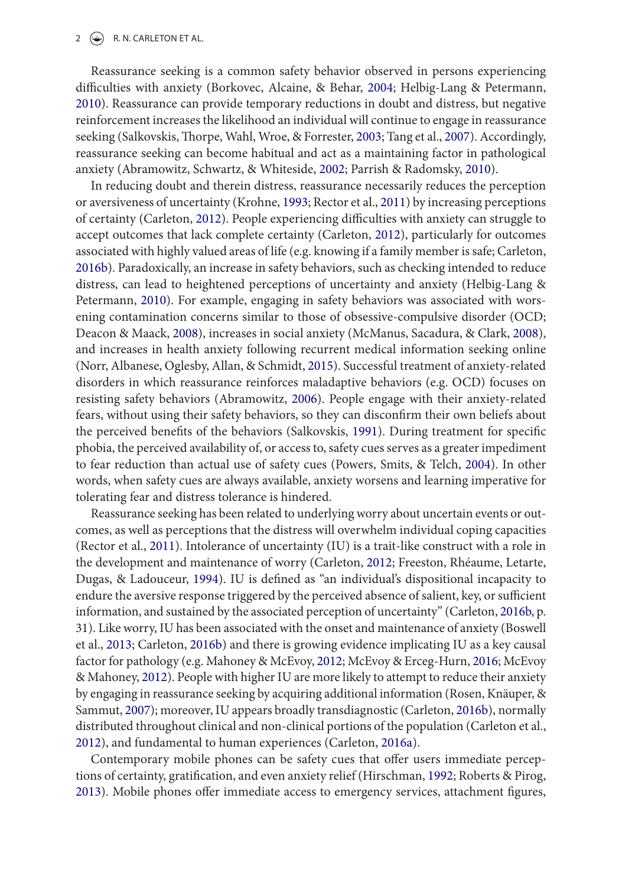#### 2  $\left(\frac{1}{2}\right)$  R. N. CARLETON ET AL.

Reassurance seeking is a common safety behavior observed in persons experiencing difficulties with anxiety (Borkovec, Alcaine, & Behar, 2004; Helbig-Lang & Petermann, 2010). Reassurance can provide temporary reductions in doubt and distress, but negative reinforcement increases the likelihood an individual will continue to engage in reassurance seeking (Salkovskis, Thorpe, Wahl, Wroe, & Forrester, 2003; Tang et al., 2007). Accordingly, reassurance seeking can become habitual and act as a maintaining factor in pathological anxiety (Abramowitz, Schwartz, & Whiteside, 2002; Parrish & Radomsky, 2010).

In reducing doubt and therein distress, reassurance necessarily reduces the perception or aversiveness of uncertainty (Krohne, 1993; Rector et al., 2011) by increasing perceptions of certainty (Carleton, 2012). People experiencing difficulties with anxiety can struggle to accept outcomes that lack complete certainty (Carleton, 2012), particularly for outcomes associated with highly valued areas of life (e.g. knowing if a family member is safe; Carleton, 2016b). Paradoxically, an increase in safety behaviors, such as checking intended to reduce distress, can lead to heightened perceptions of uncertainty and anxiety (Helbig-Lang & Petermann, 2010). For example, engaging in safety behaviors was associated with worsening contamination concerns similar to those of obsessive-compulsive disorder (OCD; Deacon & Maack, 2008), increases in social anxiety (McManus, Sacadura, & Clark, 2008), and increases in health anxiety following recurrent medical information seeking online (Norr, Albanese, Oglesby, Allan, & Schmidt, 2015). Successful treatment of anxiety-related disorders in which reassurance reinforces maladaptive behaviors (e.g. OCD) focuses on resisting safety behaviors (Abramowitz, 2006). People engage with their anxiety-related fears, without using their safety behaviors, so they can disconfirm their own beliefs about the perceived benefits of the behaviors (Salkovskis, 1991). During treatment for specific phobia, the perceived availability of, or access to, safety cues serves as a greater impediment to fear reduction than actual use of safety cues (Powers, Smits, & Telch, 2004). In other words, when safety cues are always available, anxiety worsens and learning imperative for tolerating fear and distress tolerance is hindered.

Reassurance seeking has been related to underlying worry about uncertain events or outcomes, as well as perceptions that the distress will overwhelm individual coping capacities (Rector et al., 2011). Intolerance of uncertainty (IU) is a trait-like construct with a role in the development and maintenance of worry (Carleton, 2012; Freeston, Rhéaume, Letarte, Dugas, & Ladouceur, 1994). IU is defined as "an individual's dispositional incapacity to endure the aversive response triggered by the perceived absence of salient, key, or sufficient information, and sustained by the associated perception of uncertainty" (Carleton, 2016b, p. 31). Like worry, IU has been associated with the onset and maintenance of anxiety (Boswell et al., 2013; Carleton, 2016b) and there is growing evidence implicating IU as a key causal factor for pathology (e.g. Mahoney & McEvoy, 2012; McEvoy & Erceg-Hurn, 2016; McEvoy & Mahoney, 2012). People with higher IU are more likely to attempt to reduce their anxiety by engaging in reassurance seeking by acquiring additional information (Rosen, Knäuper, & Sammut, 2007); moreover, IU appears broadly transdiagnostic (Carleton, 2016b), normally distributed throughout clinical and non-clinical portions of the population (Carleton et al., 2012), and fundamental to human experiences (Carleton, 2016a).

Contemporary mobile phones can be safety cues that offer users immediate perceptions of certainty, gratification, and even anxiety relief (Hirschman, 1992; Roberts & Pirog, 2013). Mobile phones offer immediate access to emergency services, attachment figures,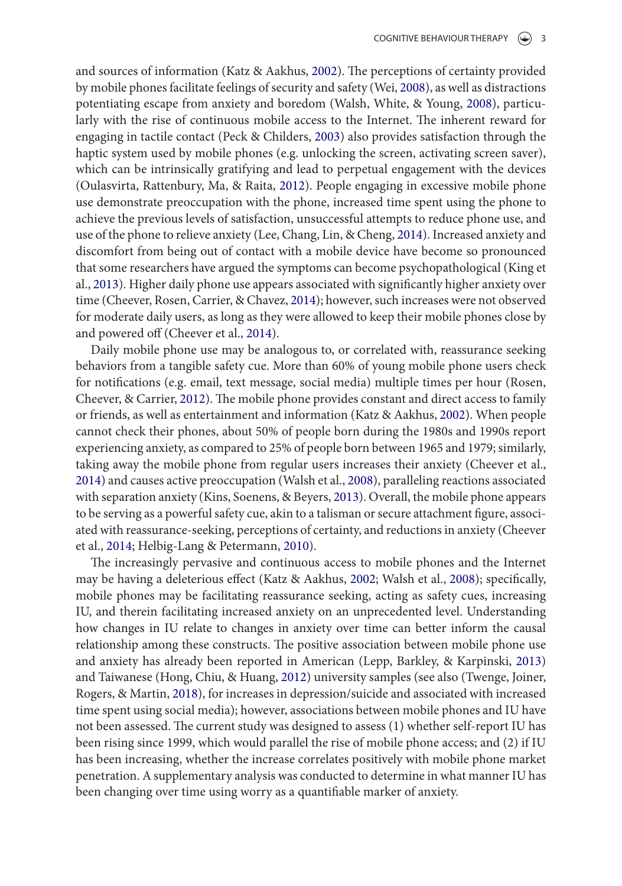and sources of information (Katz & Aakhus, 2002). The perceptions of certainty provided by mobile phones facilitate feelings of security and safety (Wei, 2008), as well as distractions potentiating escape from anxiety and boredom (Walsh, White, & Young, 2008), particularly with the rise of continuous mobile access to the Internet. The inherent reward for engaging in tactile contact (Peck & Childers, 2003) also provides satisfaction through the haptic system used by mobile phones (e.g. unlocking the screen, activating screen saver), which can be intrinsically gratifying and lead to perpetual engagement with the devices (Oulasvirta, Rattenbury, Ma, & Raita, 2012). People engaging in excessive mobile phone use demonstrate preoccupation with the phone, increased time spent using the phone to achieve the previous levels of satisfaction, unsuccessful attempts to reduce phone use, and use of the phone to relieve anxiety (Lee, Chang, Lin, & Cheng, 2014). Increased anxiety and discomfort from being out of contact with a mobile device have become so pronounced that some researchers have argued the symptoms can become psychopathological (King et al., 2013). Higher daily phone use appears associated with significantly higher anxiety over time (Cheever, Rosen, Carrier, & Chavez, 2014); however, such increases were not observed for moderate daily users, as long as they were allowed to keep their mobile phones close by and powered off (Cheever et al., 2014).

Daily mobile phone use may be analogous to, or correlated with, reassurance seeking behaviors from a tangible safety cue. More than 60% of young mobile phone users check for notifications (e.g. email, text message, social media) multiple times per hour (Rosen, Cheever, & Carrier, 2012). The mobile phone provides constant and direct access to family or friends, as well as entertainment and information (Katz & Aakhus, 2002). When people cannot check their phones, about 50% of people born during the 1980s and 1990s report experiencing anxiety, as compared to 25% of people born between 1965 and 1979; similarly, taking away the mobile phone from regular users increases their anxiety (Cheever et al., 2014) and causes active preoccupation (Walsh et al., 2008), paralleling reactions associated with separation anxiety (Kins, Soenens, & Beyers, 2013). Overall, the mobile phone appears to be serving as a powerful safety cue, akin to a talisman or secure attachment figure, associated with reassurance-seeking, perceptions of certainty, and reductions in anxiety (Cheever et al., 2014; Helbig-Lang & Petermann, 2010).

The increasingly pervasive and continuous access to mobile phones and the Internet may be having a deleterious effect (Katz & Aakhus, 2002; Walsh et al., 2008); specifically, mobile phones may be facilitating reassurance seeking, acting as safety cues, increasing IU, and therein facilitating increased anxiety on an unprecedented level. Understanding how changes in IU relate to changes in anxiety over time can better inform the causal relationship among these constructs. The positive association between mobile phone use and anxiety has already been reported in American (Lepp, Barkley, & Karpinski, 2013) and Taiwanese (Hong, Chiu, & Huang, 2012) university samples (see also (Twenge, Joiner, Rogers, & Martin, 2018), for increases in depression/suicide and associated with increased time spent using social media); however, associations between mobile phones and IU have not been assessed. The current study was designed to assess (1) whether self-report IU has been rising since 1999, which would parallel the rise of mobile phone access; and (2) if IU has been increasing, whether the increase correlates positively with mobile phone market penetration. A supplementary analysis was conducted to determine in what manner IU has been changing over time using worry as a quantifiable marker of anxiety.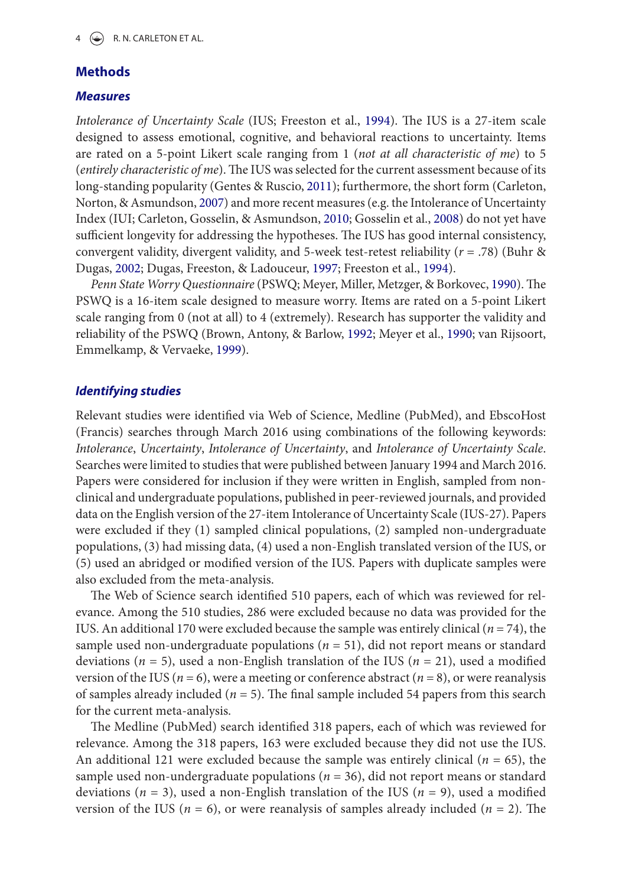### **Methods**

### **Measures**

Intolerance of Uncertainty Scale (IUS; Freeston et al., 1994). The IUS is a 27-item scale designed to assess emotional, cognitive, and behavioral reactions to uncertainty. Items are rated on a 5-point Likert scale ranging from 1 (not at all characteristic of me) to 5 (entirely characteristic of me). The IUS was selected for the current assessment because of its long-standing popularity (Gentes & Ruscio, 2011); furthermore, the short form (Carleton, Norton, & Asmundson, 2007) and more recent measures (e.g. the Intolerance of Uncertainty Index (IUI; Carleton, Gosselin, & Asmundson, 2010; Gosselin et al., 2008) do not yet have sufficient longevity for addressing the hypotheses. The IUS has good internal consistency, convergent validity, divergent validity, and 5-week test-retest reliability ( $r = .78$ ) (Buhr & Dugas, 2002; Dugas, Freeston, & Ladouceur, 1997; Freeston et al., 1994).

Penn State Worry Questionnaire (PSWQ; Meyer, Miller, Metzger, & Borkovec, 1990). The PSWQ is a 16-item scale designed to measure worry. Items are rated on a 5-point Likert scale ranging from 0 (not at all) to 4 (extremely). Research has supporter the validity and reliability of the PSWQ (Brown, Antony, & Barlow, 1992; Meyer et al., 1990; van Rijsoort, Emmelkamp, & Vervaeke, 1999).

### **Identifying studies**

Relevant studies were identified via Web of Science, Medline (PubMed), and EbscoHost (Francis) searches through March 2016 using combinations of the following keywords: Intolerance, Uncertainty, Intolerance of Uncertainty, and Intolerance of Uncertainty Scale. Searches were limited to studies that were published between January 1994 and March 2016. Papers were considered for inclusion if they were written in English, sampled from nonclinical and undergraduate populations, published in peer-reviewed journals, and provided data on the English version of the 27-item Intolerance of Uncertainty Scale (IUS-27). Papers were excluded if they (1) sampled clinical populations, (2) sampled non-undergraduate populations, (3) had missing data, (4) used a non-English translated version of the IUS, or (5) used an abridged or modified version of the IUS. Papers with duplicate samples were also excluded from the meta-analysis.

The Web of Science search identified 510 papers, each of which was reviewed for relevance. Among the 510 studies, 286 were excluded because no data was provided for the IUS. An additional 170 were excluded because the sample was entirely clinical ( $n = 74$ ), the sample used non-undergraduate populations ( $n = 51$ ), did not report means or standard deviations ( $n = 5$ ), used a non-English translation of the IUS ( $n = 21$ ), used a modified version of the IUS ( $n = 6$ ), were a meeting or conference abstract ( $n = 8$ ), or were reanalysis of samples already included ( $n = 5$ ). The final sample included 54 papers from this search for the current meta-analysis.

The Medline (PubMed) search identified 318 papers, each of which was reviewed for relevance. Among the 318 papers, 163 were excluded because they did not use the IUS. An additional 121 were excluded because the sample was entirely clinical ( $n = 65$ ), the sample used non-undergraduate populations ( $n = 36$ ), did not report means or standard deviations ( $n = 3$ ), used a non-English translation of the IUS ( $n = 9$ ), used a modified version of the IUS ( $n = 6$ ), or were reanalysis of samples already included ( $n = 2$ ). The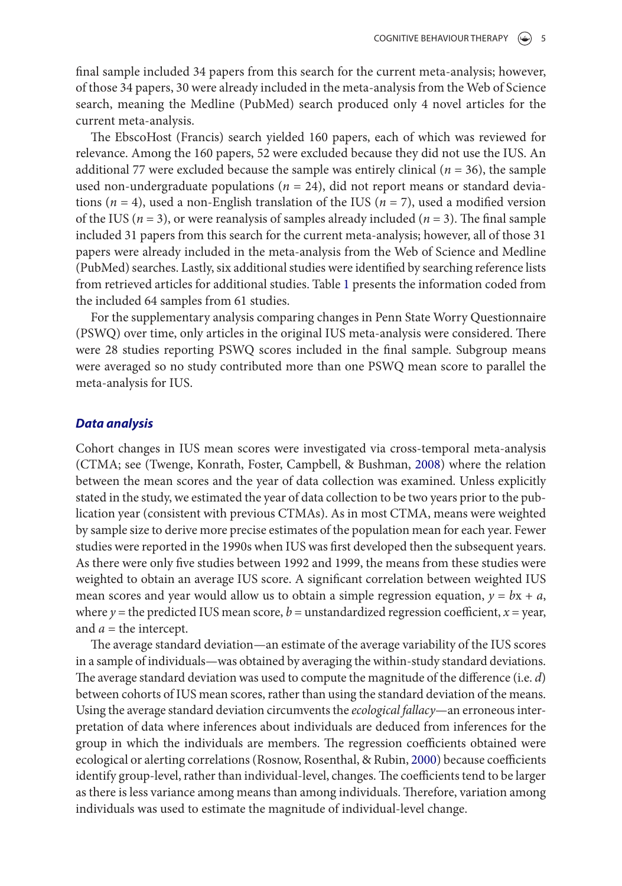final sample included 34 papers from this search for the current meta-analysis; however, of those 34 papers, 30 were already included in the meta-analysis from the Web of Science search, meaning the Medline (PubMed) search produced only 4 novel articles for the current meta-analysis.

The EbscoHost (Francis) search yielded 160 papers, each of which was reviewed for relevance. Among the 160 papers, 52 were excluded because they did not use the IUS. An additional 77 were excluded because the sample was entirely clinical  $(n = 36)$ , the sample used non-undergraduate populations ( $n = 24$ ), did not report means or standard deviations ( $n = 4$ ), used a non-English translation of the IUS ( $n = 7$ ), used a modified version of the IUS ( $n = 3$ ), or were reanalysis of samples already included ( $n = 3$ ). The final sample included 31 papers from this search for the current meta-analysis; however, all of those 31 papers were already included in the meta-analysis from the Web of Science and Medline (PubMed) searches. Lastly, six additional studies were identified by searching reference lists from retrieved articles for additional studies. Table 1 presents the information coded from the included 64 samples from 61 studies.

For the supplementary analysis comparing changes in Penn State Worry Questionnaire (PSWQ) over time, only articles in the original IUS meta-analysis were considered. There were 28 studies reporting PSWQ scores included in the final sample. Subgroup means were averaged so no study contributed more than one PSWQ mean score to parallel the meta-analysis for IUS.

### **Data analysis**

Cohort changes in IUS mean scores were investigated via cross-temporal meta-analysis (CTMA; see (Twenge, Konrath, Foster, Campbell, & Bushman, 2008) where the relation between the mean scores and the year of data collection was examined. Unless explicitly stated in the study, we estimated the year of data collection to be two years prior to the publication year (consistent with previous CTMAs). As in most CTMA, means were weighted by sample size to derive more precise estimates of the population mean for each year. Fewer studies were reported in the 1990s when IUS was first developed then the subsequent years. As there were only five studies between 1992 and 1999, the means from these studies were weighted to obtain an average IUS score. A significant correlation between weighted IUS mean scores and year would allow us to obtain a simple regression equation,  $y = bx + a$ , where  $y$  = the predicted IUS mean score,  $b$  = unstandardized regression coefficient,  $x$  = year, and  $a =$  the intercept.

The average standard deviation—an estimate of the average variability of the IUS scores in a sample of individuals—was obtained by averaging the within-study standard deviations. The average standard deviation was used to compute the magnitude of the difference (i.e.  $d$ ) between cohorts of IUS mean scores, rather than using the standard deviation of the means. Using the average standard deviation circumvents the *ecological fallacy*—an erroneous interpretation of data where inferences about individuals are deduced from inferences for the group in which the individuals are members. The regression coefficients obtained were ecological or alerting correlations (Rosnow, Rosenthal, & Rubin, 2000) because coefficients identify group-level, rather than individual-level, changes. The coefficients tend to be larger as there is less variance among means than among individuals. Therefore, variation among individuals was used to estimate the magnitude of individual-level change.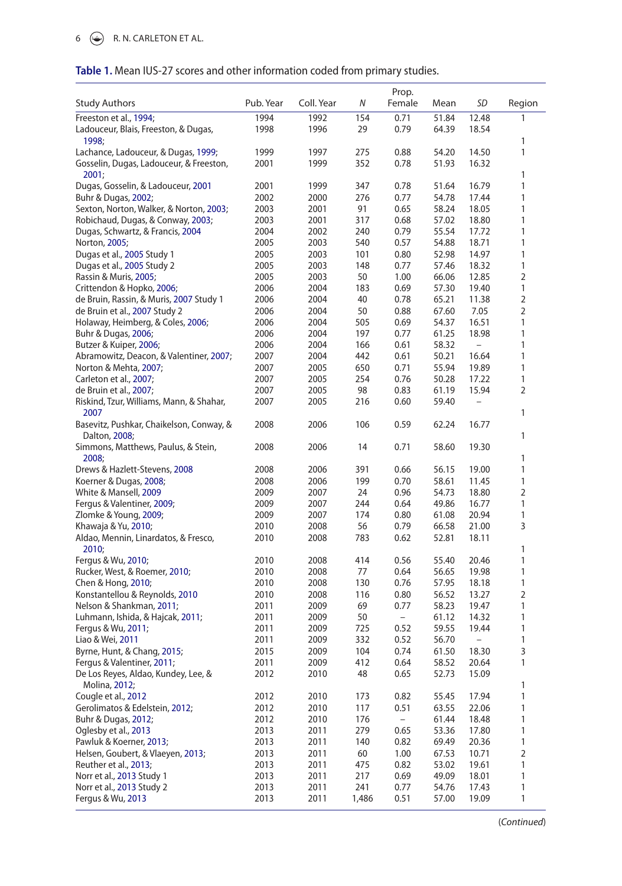## 6  $\bigcirc$  R. N. CARLETON ET AL.

## Table 1. Mean IUS-27 scores and other information coded from primary studies.

|                                                                              |              |              |            | Prop.                    |                |                                   |                   |
|------------------------------------------------------------------------------|--------------|--------------|------------|--------------------------|----------------|-----------------------------------|-------------------|
| Study Authors                                                                | Pub. Year    | Coll. Year   | Ν          | Female                   | Mean           | SD                                | Region            |
| Freeston et al., 1994;                                                       | 1994         | 1992         | 154        | 0.71                     | 51.84          | 12.48                             | 1                 |
| Ladouceur, Blais, Freeston, & Dugas,                                         | 1998         | 1996         | 29         | 0.79                     | 64.39          | 18.54                             |                   |
| 1998;                                                                        |              |              |            |                          |                |                                   | 1                 |
| Lachance, Ladouceur, & Dugas, 1999;                                          | 1999         | 1997         | 275        | 0.88                     | 54.20          | 14.50                             | 1                 |
| Gosselin, Dugas, Ladouceur, & Freeston,                                      | 2001         | 1999         | 352        | 0.78                     | 51.93          | 16.32                             |                   |
| 2001;                                                                        |              |              |            |                          |                |                                   | 1                 |
| Dugas, Gosselin, & Ladouceur, 2001                                           | 2001         | 1999         | 347        | 0.78                     | 51.64          | 16.79                             | 1                 |
| Buhr & Dugas, 2002;                                                          | 2002         | 2000         | 276<br>91  | 0.77                     | 54.78          | 17.44                             | $\mathbf{1}$<br>1 |
| Sexton, Norton, Walker, & Norton, 2003;<br>Robichaud, Dugas, & Conway, 2003; | 2003<br>2003 | 2001<br>2001 | 317        | 0.65<br>0.68             | 58.24<br>57.02 | 18.05<br>18.80                    | 1                 |
| Dugas, Schwartz, & Francis, 2004                                             | 2004         | 2002         | 240        | 0.79                     | 55.54          | 17.72                             | 1                 |
| Norton, 2005;                                                                | 2005         | 2003         | 540        | 0.57                     | 54.88          | 18.71                             | $\mathbf{1}$      |
| Dugas et al., 2005 Study 1                                                   | 2005         | 2003         | 101        | 0.80                     | 52.98          | 14.97                             | 1                 |
| Dugas et al., 2005 Study 2                                                   | 2005         | 2003         | 148        | 0.77                     | 57.46          | 18.32                             | 1                 |
| Rassin & Muris, 2005;                                                        | 2005         | 2003         | 50         | 1.00                     | 66.06          | 12.85                             | 2                 |
| Crittendon & Hopko, 2006;                                                    | 2006         | 2004         | 183        | 0.69                     | 57.30          | 19.40                             | 1                 |
| de Bruin, Rassin, & Muris, 2007 Study 1                                      | 2006         | 2004         | 40         | 0.78                     | 65.21          | 11.38                             | $\overline{2}$    |
| de Bruin et al., 2007 Study 2                                                | 2006         | 2004         | 50         | 0.88                     | 67.60          | 7.05                              | 2                 |
| Holaway, Heimberg, & Coles, 2006;                                            | 2006         | 2004         | 505        | 0.69                     | 54.37          | 16.51                             | 1                 |
| Buhr & Dugas, 2006;                                                          | 2006         | 2004         | 197        | 0.77                     | 61.25          | 18.98                             | 1                 |
| Butzer & Kuiper, 2006;                                                       | 2006<br>2007 | 2004         | 166        | 0.61                     | 58.32          | $\qquad \qquad -$                 | 1<br>$\mathbf{1}$ |
| Abramowitz, Deacon, & Valentiner, 2007;<br>Norton & Mehta, 2007;             | 2007         | 2004<br>2005 | 442<br>650 | 0.61<br>0.71             | 50.21<br>55.94 | 16.64<br>19.89                    | 1                 |
| Carleton et al., 2007;                                                       | 2007         | 2005         | 254        | 0.76                     | 50.28          | 17.22                             | 1                 |
| de Bruin et al., 2007;                                                       | 2007         | 2005         | 98         | 0.83                     | 61.19          | 15.94                             | $\overline{2}$    |
| Riskind, Tzur, Williams, Mann, & Shahar,                                     | 2007         | 2005         | 216        | 0.60                     | 59.40          | $\qquad \qquad -$                 |                   |
| 2007                                                                         |              |              |            |                          |                |                                   | 1                 |
| Basevitz, Pushkar, Chaikelson, Conway, &                                     | 2008         | 2006         | 106        | 0.59                     | 62.24          | 16.77                             |                   |
| Dalton, 2008;                                                                |              |              |            |                          |                |                                   | 1                 |
| Simmons, Matthews, Paulus, & Stein,                                          | 2008         | 2006         | 14         | 0.71                     | 58.60          | 19.30                             |                   |
| 2008;                                                                        |              |              |            |                          |                |                                   | 1                 |
| Drews & Hazlett-Stevens, 2008                                                | 2008         | 2006         | 391        | 0.66                     | 56.15          | 19.00                             | $\mathbf{1}$      |
| Koerner & Dugas, 2008;                                                       | 2008         | 2006         | 199        | 0.70                     | 58.61          | 11.45                             | 1                 |
| White & Mansell, 2009                                                        | 2009         | 2007         | 24         | 0.96                     | 54.73          | 18.80                             | $\overline{2}$    |
| Fergus & Valentiner, 2009;                                                   | 2009         | 2007         | 244        | 0.64                     | 49.86          | 16.77                             | 1                 |
| Zlomke & Young, 2009;<br>Khawaja & Yu, 2010;                                 | 2009<br>2010 | 2007<br>2008 | 174<br>56  | 0.80<br>0.79             | 61.08<br>66.58 | 20.94<br>21.00                    | 1<br>3            |
| Aldao, Mennin, Linardatos, & Fresco,                                         | 2010         | 2008         | 783        | 0.62                     | 52.81          | 18.11                             |                   |
| 2010;                                                                        |              |              |            |                          |                |                                   | 1                 |
| Fergus & Wu, 2010;                                                           | 2010         | 2008         | 414        | 0.56                     | 55.40          | 20.46                             | $\mathbf{1}$      |
| Rucker, West, & Roemer, 2010;                                                | 2010         | 2008         | 77         | 0.64                     | 56.65          | 19.98                             | 1                 |
| Chen & Hong, 2010;                                                           | 2010         | 2008         | 130        | 0.76                     | 57.95          | 18.18                             | 1                 |
| Konstantellou & Reynolds, 2010                                               | 2010         | 2008         | 116        | 0.80                     | 56.52          | 13.27                             | 2                 |
| Nelson & Shankman, 2011;                                                     | 2011         | 2009         | 69         | 0.77                     | 58.23          | 19.47                             | 1                 |
| Luhmann, Ishida, & Hajcak, 2011;                                             | 2011         | 2009         | 50         | $\overline{\phantom{a}}$ | 61.12          | 14.32                             | 1                 |
| Fergus & Wu, 2011;                                                           | 2011         | 2009         | 725        | 0.52                     | 59.55          | 19.44                             | 1                 |
| Liao & Wei, 2011                                                             | 2011         | 2009         | 332        | 0.52                     | 56.70          | $\hspace{1.0cm} - \hspace{1.0cm}$ | 1                 |
| Byrne, Hunt, & Chang, 2015;                                                  | 2015         | 2009         | 104        | 0.74                     | 61.50          | 18.30                             | 3                 |
| Fergus & Valentiner, 2011;                                                   | 2011         | 2009         | 412        | 0.64                     | 58.52          | 20.64                             | 1                 |
| De Los Reyes, Aldao, Kundey, Lee, &<br>Molina, 2012;                         | 2012         | 2010         | 48         | 0.65                     | 52.73          | 15.09                             | 1                 |
| Cougle et al., 2012                                                          | 2012         | 2010         | 173        | 0.82                     | 55.45          | 17.94                             | 1                 |
| Gerolimatos & Edelstein, 2012;                                               | 2012         | 2010         | 117        | 0.51                     | 63.55          | 22.06                             | 1                 |
| Buhr & Dugas, 2012;                                                          | 2012         | 2010         | 176        | $\overline{\phantom{0}}$ | 61.44          | 18.48                             | 1                 |
| Oglesby et al., 2013                                                         | 2013         | 2011         | 279        | 0.65                     | 53.36          | 17.80                             | 1                 |
| Pawluk & Koerner, 2013;                                                      | 2013         | 2011         | 140        | 0.82                     | 69.49          | 20.36                             | 1                 |
| Helsen, Goubert, & Vlaeyen, 2013;                                            | 2013         | 2011         | 60         | 1.00                     | 67.53          | 10.71                             | 2                 |
| Reuther et al., 2013;                                                        | 2013         | 2011         | 475        | 0.82                     | 53.02          | 19.61                             | 1                 |
| Norr et al., 2013 Study 1                                                    | 2013         | 2011         | 217        | 0.69                     | 49.09          | 18.01                             | 1                 |
| Norr et al., 2013 Study 2                                                    | 2013         | 2011         | 241        | 0.77                     | 54.76          | 17.43                             | 1                 |
| Fergus & Wu, 2013                                                            | 2013         | 2011         | 1,486      | 0.51                     | 57.00          | 19.09                             | 1                 |

(Continued)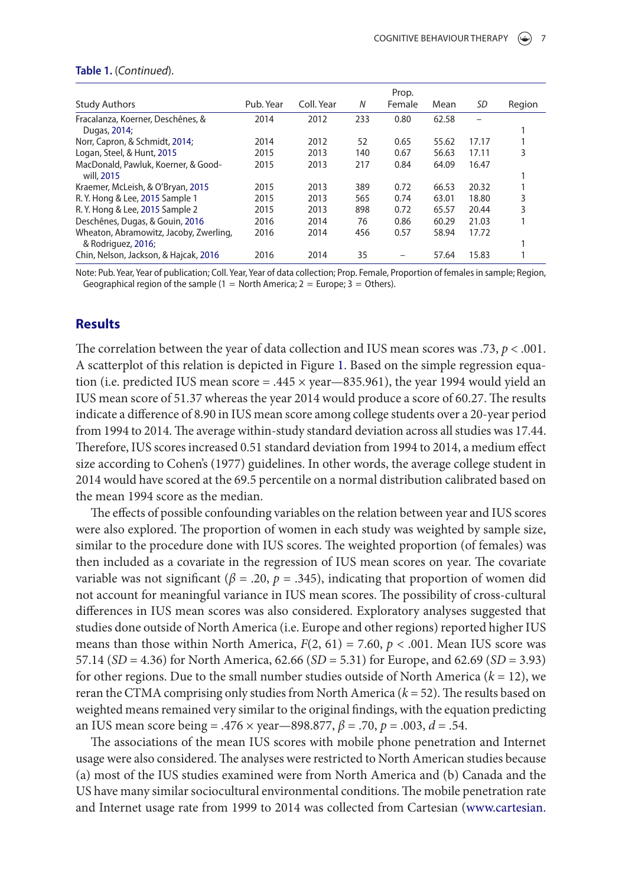|                                                              |           |            |     | Prop.  |       |                          |        |
|--------------------------------------------------------------|-----------|------------|-----|--------|-------|--------------------------|--------|
| <b>Study Authors</b>                                         | Pub. Year | Coll. Year | N   | Female | Mean  | SD                       | Region |
| Fracalanza, Koerner, Deschênes, &                            | 2014      | 2012       | 233 | 0.80   | 62.58 | $\overline{\phantom{0}}$ |        |
| Dugas, 2014;                                                 |           |            |     |        |       |                          |        |
| Norr, Capron, & Schmidt, 2014;                               | 2014      | 2012       | 52  | 0.65   | 55.62 | 17.17                    |        |
| Logan, Steel, & Hunt, 2015                                   | 2015      | 2013       | 140 | 0.67   | 56.63 | 17.11                    | 3      |
| MacDonald, Pawluk, Koerner, & Good-<br>will, 2015            | 2015      | 2013       | 217 | 0.84   | 64.09 | 16.47                    |        |
| Kraemer, McLeish, & O'Bryan, 2015                            | 2015      | 2013       | 389 | 0.72   | 66.53 | 20.32                    |        |
| R. Y. Hong & Lee, 2015 Sample 1                              | 2015      | 2013       | 565 | 0.74   | 63.01 | 18.80                    | 3      |
| R. Y. Hong & Lee, 2015 Sample 2                              | 2015      | 2013       | 898 | 0.72   | 65.57 | 20.44                    | ξ      |
| Deschênes, Dugas, & Gouin, 2016                              | 2016      | 2014       | 76  | 0.86   | 60.29 | 21.03                    |        |
| Wheaton, Abramowitz, Jacoby, Zwerling,<br>& Rodriguez, 2016; | 2016      | 2014       | 456 | 0.57   | 58.94 | 17.72                    |        |
| Chin, Nelson, Jackson, & Hajcak, 2016                        | 2016      | 2014       | 35  |        | 57.64 | 15.83                    |        |

#### **Table 1.** (Continued).

Note: Pub. Year, Year of publication; Coll. Year, Year of data collection; Prop. Female, Proportion of females in sample; Region, Geographical region of the sample (1 = North America; 2 = Europe; 3 = Others).

### **Results**

The correlation between the year of data collection and IUS mean scores was  $.73, p < .001$ . A scatterplot of this relation is depicted in Figure 1. Based on the simple regression equation (i.e. predicted IUS mean score = .445  $\times$  year -835.961), the year 1994 would yield an IUS mean score of 51.37 whereas the year 2014 would produce a score of 60.27. The results indicate a difference of 8.90 in IUS mean score among college students over a 20-year period from 1994 to 2014. The average within-study standard deviation across all studies was 17.44. Therefore, IUS scores increased 0.51 standard deviation from 1994 to 2014, a medium effect size according to Cohen's (1977) guidelines. In other words, the average college student in 2014 would have scored at the 69.5 percentile on a normal distribution calibrated based on the mean 1994 score as the median.

The effects of possible confounding variables on the relation between year and IUS scores were also explored. The proportion of women in each study was weighted by sample size, similar to the procedure done with IUS scores. The weighted proportion (of females) was then included as a covariate in the regression of IUS mean scores on year. The covariate variable was not significant ( $\beta$  = .20,  $p$  = .345), indicating that proportion of women did not account for meaningful variance in IUS mean scores. The possibility of cross-cultural differences in IUS mean scores was also considered. Exploratory analyses suggested that studies done outside of North America (i.e. Europe and other regions) reported higher IUS means than those within North America,  $F(2, 61) = 7.60$ ,  $p < .001$ . Mean IUS score was 57.14 ( $SD = 4.36$ ) for North America, 62.66 ( $SD = 5.31$ ) for Europe, and 62.69 ( $SD = 3.93$ ) for other regions. Due to the small number studies outside of North America ( $k = 12$ ), we reran the CTMA comprising only studies from North America  $(k = 52)$ . The results based on weighted means remained very similar to the original findings, with the equation predicting an IUS mean score being = .476 × year—898.877,  $β = .70$ ,  $p = .003$ ,  $d = .54$ .

The associations of the mean IUS scores with mobile phone penetration and Internet usage were also considered. The analyses were restricted to North American studies because (a) most of the IUS studies examined were from North America and (b) Canada and the US have many similar sociocultural environmental conditions. The mobile penetration rate and Internet usage rate from 1999 to 2014 was collected from Cartesian (www.cartesian.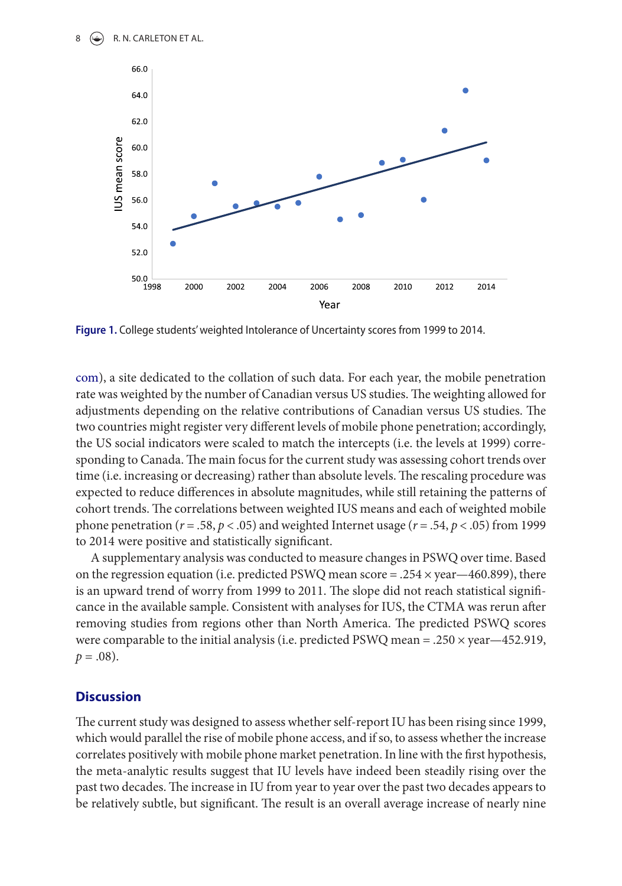

**Figure 1.** College students' weighted intolerance of uncertainty scores from 1999 to 2014.

com), a site dedicated to the collation of such data. For each year, the mobile penetration rate was weighted by the number of Canadian versus US studies. The weighting allowed for adjustments depending on the relative contributions of Canadian versus US studies. The two countries might register very different levels of mobile phone penetration; accordingly, the US social indicators were scaled to match the intercepts (i.e. the levels at 1999) corresponding to Canada. The main focus for the current study was assessing cohort trends over time (i.e. increasing or decreasing) rather than absolute levels. The rescaling procedure was expected to reduce differences in absolute magnitudes, while still retaining the patterns of cohort trends. The correlations between weighted IUS means and each of weighted mobile phone penetration ( $r = .58$ ,  $p < .05$ ) and weighted Internet usage ( $r = .54$ ,  $p < .05$ ) from 1999 to 2014 were positive and statistically significant.

A supplementary analysis was conducted to measure changes in PSWQ over time. Based on the regression equation (i.e. predicted PSWQ mean score = .254  $\times$  year—460.899), there is an upward trend of worry from 1999 to 2011. The slope did not reach statistical significance in the available sample. Consistent with analyses for IUS, the CTMA was rerun after removing studies from regions other than North America. The predicted PSWQ scores were comparable to the initial analysis (i.e. predicted PSWQ mean = .250  $\times$  year—452.919,  $p = .08$ ).

### **Discussion**

The current study was designed to assess whether self-report IU has been rising since 1999, which would parallel the rise of mobile phone access, and if so, to assess whether the increase correlates positively with mobile phone market penetration. In line with the first hypothesis, the meta-analytic results suggest that IU levels have indeed been steadily rising over the past two decades. The increase in IU from year to year over the past two decades appears to be relatively subtle, but significant. The result is an overall average increase of nearly nine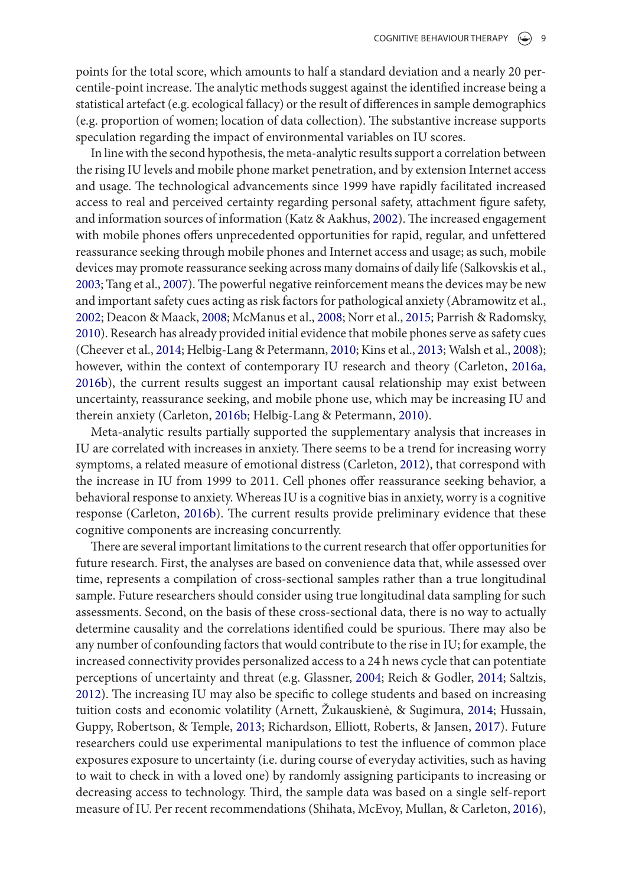points for the total score, which amounts to half a standard deviation and a nearly 20 percentile-point increase. The analytic methods suggest against the identified increase being a statistical artefact (e.g. ecological fallacy) or the result of differences in sample demographics (e.g. proportion of women; location of data collection). The substantive increase supports speculation regarding the impact of environmental variables on IU scores.

In line with the second hypothesis, the meta-analytic results support a correlation between the rising IU levels and mobile phone market penetration, and by extension Internet access and usage. The technological advancements since 1999 have rapidly facilitated increased access to real and perceived certainty regarding personal safety, attachment figure safety, and information sources of information (Katz & Aakhus, 2002). The increased engagement with mobile phones offers unprecedented opportunities for rapid, regular, and unfettered reassurance seeking through mobile phones and Internet access and usage; as such, mobile devices may promote reassurance seeking across many domains of daily life (Salkovskis et al., 2003; Tang et al., 2007). The powerful negative reinforcement means the devices may be new and important safety cues acting as risk factors for pathological anxiety (Abramowitz et al., 2002; Deacon & Maack, 2008; McManus et al., 2008; Norr et al., 2015; Parrish & Radomsky, 2010). Research has already provided initial evidence that mobile phones serve as safety cues (Cheever et al., 2014; Helbig-Lang & Petermann, 2010; Kins et al., 2013; Walsh et al., 2008); however, within the context of contemporary IU research and theory (Carleton, 2016a, 2016b), the current results suggest an important causal relationship may exist between uncertainty, reassurance seeking, and mobile phone use, which may be increasing IU and therein anxiety (Carleton, 2016b; Helbig-Lang & Petermann, 2010).

Meta-analytic results partially supported the supplementary analysis that increases in IU are correlated with increases in anxiety. There seems to be a trend for increasing worry symptoms, a related measure of emotional distress (Carleton, 2012), that correspond with the increase in IU from 1999 to 2011. Cell phones offer reassurance seeking behavior, a behavioral response to anxiety. Whereas IU is a cognitive bias in anxiety, worry is a cognitive response (Carleton, 2016b). The current results provide preliminary evidence that these cognitive components are increasing concurrently.

There are several important limitations to the current research that offer opportunities for future research. First, the analyses are based on convenience data that, while assessed over time, represents a compilation of cross-sectional samples rather than a true longitudinal sample. Future researchers should consider using true longitudinal data sampling for such assessments. Second, on the basis of these cross-sectional data, there is no way to actually determine causality and the correlations identified could be spurious. There may also be any number of confounding factors that would contribute to the rise in IU; for example, the increased connectivity provides personalized access to a 24 h news cycle that can potentiate perceptions of uncertainty and threat (e.g. Glassner, 2004; Reich & Godler, 2014; Saltzis, 2012). The increasing IU may also be specific to college students and based on increasing tuition costs and economic volatility (Arnett, Žukauskienė, & Sugimura, 2014; Hussain, Guppy, Robertson, & Temple, 2013; Richardson, Elliott, Roberts, & Jansen, 2017). Future researchers could use experimental manipulations to test the influence of common place exposures exposure to uncertainty (i.e. during course of everyday activities, such as having to wait to check in with a loved one) by randomly assigning participants to increasing or decreasing access to technology. Third, the sample data was based on a single self-report measure of IU. Per recent recommendations (Shihata, McEvoy, Mullan, & Carleton, 2016),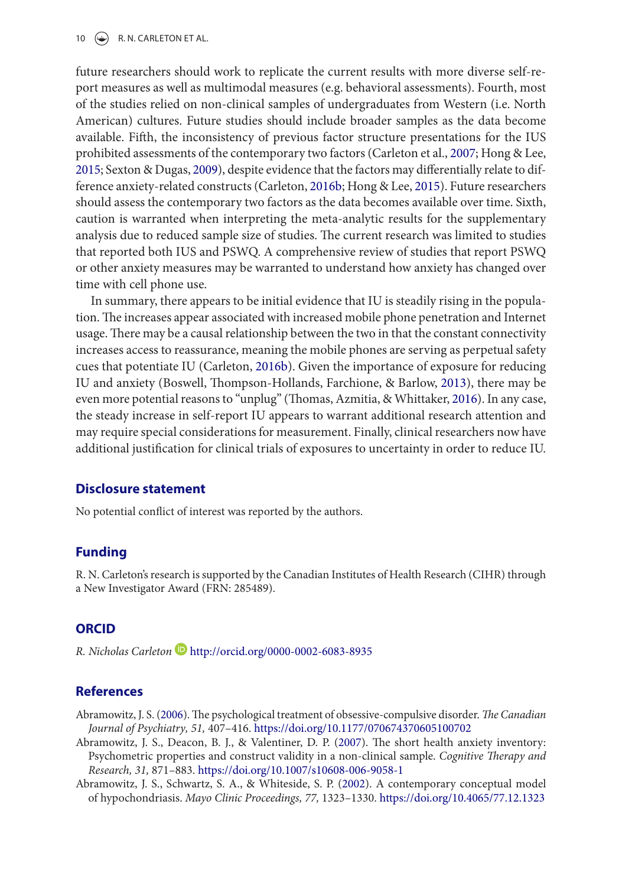10  $\left(\rightarrow\right)$  R. N. CARLETON ET AL.

future researchers should work to replicate the current results with more diverse self-report measures as well as multimodal measures (e.g. behavioral assessments). Fourth, most of the studies relied on non-clinical samples of undergraduates from Western (i.e. North American) cultures. Future studies should include broader samples as the data become available. Fifth, the inconsistency of previous factor structure presentations for the IUS prohibited assessments of the contemporary two factors (Carleton et al., 2007; Hong & Lee, 2015; Sexton & Dugas, 2009), despite evidence that the factors may differentially relate to difference anxiety-related constructs (Carleton, 2016b; Hong & Lee, 2015). Future researchers should assess the contemporary two factors as the data becomes available over time. Sixth, caution is warranted when interpreting the meta-analytic results for the supplementary analysis due to reduced sample size of studies. The current research was limited to studies that reported both IUS and PSWQ. A comprehensive review of studies that report PSWQ or other anxiety measures may be warranted to understand how anxiety has changed over time with cell phone use.

In summary, there appears to be initial evidence that IU is steadily rising in the population. The increases appear associated with increased mobile phone penetration and Internet usage. There may be a causal relationship between the two in that the constant connectivity increases access to reassurance, meaning the mobile phones are serving as perpetual safety cues that potentiate IU (Carleton, 2016b). Given the importance of exposure for reducing IU and anxiety (Boswell, Thompson-Hollands, Farchione, & Barlow, 2013), there may be even more potential reasons to "unplug" (Thomas, Azmitia, & Whittaker, 2016). In any case, the steady increase in self-report IU appears to warrant additional research attention and may require special considerations for measurement. Finally, clinical researchers now have additional justification for clinical trials of exposures to uncertainty in order to reduce IU.

### **Disclosure statement**

No potential conflict of interest was reported by the authors.

### **Funding**

R. N. Carleton's research is supported by the Canadian Institutes of Health Research (CIHR) through a New Investigator Award (FRN: 285489).

### **ORCID**

R. Nicholas Carleton **b** http://orcid.org/0000-0002-6083-8935

### **References**

Abramowitz, J. S. (2006). The psychological treatment of obsessive-compulsive disorder. The Canadian Journal of Psychiatry, 51, 407–416. https://doi.org/10.1177/070674370605100702

- Abramowitz, J. S., Deacon, B. J., & Valentiner, D. P. (2007). The short health anxiety inventory: Psychometric properties and construct validity in a non-clinical sample. Cognitive Therapy and Research, 31, 871–883. https://doi.org/10.1007/s10608-006-9058-1
- Abramowitz, J. S., Schwartz, S. A., & Whiteside, S. P. (2002). A contemporary conceptual model of hypochondriasis. Mayo Clinic Proceedings, 77, 1323–1330. https://doi.org/10.4065/77.12.1323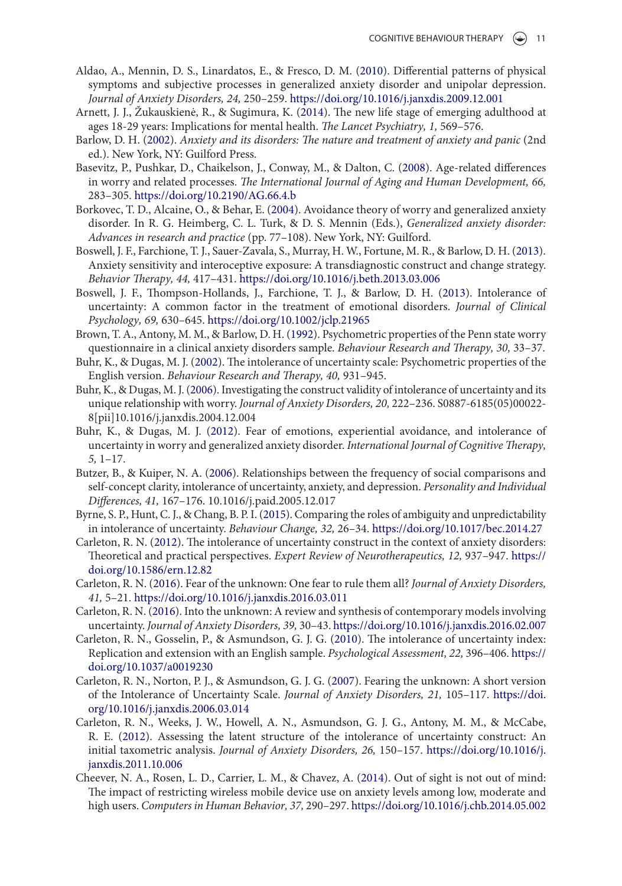- Aldao, A., Mennin, D. S., Linardatos, E., & Fresco, D. M. (2010). Differential patterns of physical symptoms and subjective processes in generalized anxiety disorder and unipolar depression. Journal of Anxiety Disorders, 24, 250–259. https://doi.org/10.1016/j.janxdis.2009.12.001
- Arnett, J. J., Žukauskienė, R., & Sugimura, K. (2014). The new life stage of emerging adulthood at ages 18-29 years: Implications for mental health. The Lancet Psychiatry, 1, 569–576.
- Barlow, D. H. (2002). Anxiety and its disorders: The nature and treatment of anxiety and panic (2nd ed.). New York, NY: Guilford Press.
- Basevitz, P., Pushkar, D., Chaikelson, J., Conway, M., & Dalton, C. (2008). Age-related differences in worry and related processes. The International Journal of Aging and Human Development, 66, 283–305. https://doi.org/10.2190/AG.66.4.b
- Borkovec, T. D., Alcaine, O., & Behar, E. (2004). Avoidance theory of worry and generalized anxiety disorder. In R. G. Heimberg, C. L. Turk, & D. S. Mennin (Eds.), Generalized anxiety disorder: Advances in research and practice (pp. 77–108). New York, NY: Guilford.
- Boswell, J. F., Farchione, T. J., Sauer-Zavala, S., Murray, H. W., Fortune, M. R., & Barlow, D. H. (2013). Anxiety sensitivity and interoceptive exposure: A transdiagnostic construct and change strategy. Behavior Therapy, 44, 417–431. https://doi.org/10.1016/j.beth.2013.03.006
- Boswell, J. F., Thompson-Hollands, J., Farchione, T. J., & Barlow, D. H. (2013). Intolerance of uncertainty: A common factor in the treatment of emotional disorders. Journal of Clinical Psychology, 69, 630–645. https://doi.org/10.1002/jclp.21965
- Brown, T. A., Antony, M. M., & Barlow, D. H. (1992). Psychometric properties of the Penn state worry questionnaire in a clinical anxiety disorders sample. Behaviour Research and Therapy, 30, 33–37.
- Buhr, K., & Dugas, M. J. (2002). The intolerance of uncertainty scale: Psychometric properties of the English version. Behaviour Research and Therapy, 40, 931–945.
- Buhr, K., & Dugas, M. J. (2006). Investigating the construct validity of intolerance of uncertainty and its unique relationship with worry. Journal of Anxiety Disorders, 20, 222–236. S0887-6185(05)00022- 8[pii]10.1016/j.janxdis.2004.12.004
- Buhr, K., & Dugas, M. J. (2012). Fear of emotions, experiential avoidance, and intolerance of uncertainty in worry and generalized anxiety disorder. International Journal of Cognitive Therapy, 5, 1–17.
- Butzer, B., & Kuiper, N. A. (2006). Relationships between the frequency of social comparisons and self-concept clarity, intolerance of uncertainty, anxiety, and depression. Personality and Individual Differences, 41, 167–176. 10.1016/j.paid.2005.12.017
- Byrne, S. P., Hunt, C. J., & Chang, B. P. I. (2015). Comparing the roles of ambiguity and unpredictability in intolerance of uncertainty. Behaviour Change, 32, 26–34. https://doi.org/10.1017/bec.2014.27
- Carleton, R. N. (2012). The intolerance of uncertainty construct in the context of anxiety disorders: Theoretical and practical perspectives. Expert Review of Neurotherapeutics, 12, 937–947. https:// doi.org/10.1586/ern.12.82
- Carleton, R. N. (2016). Fear of the unknown: One fear to rule them all? Journal of Anxiety Disorders, 41, 5–21. https://doi.org/10.1016/j.janxdis.2016.03.011
- Carleton, R. N. (2016). Into the unknown: A review and synthesis of contemporary models involving uncertainty. Journal of Anxiety Disorders, 39, 30–43. https://doi.org/10.1016/j.janxdis.2016.02.007
- Carleton, R. N., Gosselin, P., & Asmundson, G. J. G. (2010). The intolerance of uncertainty index: Replication and extension with an English sample. Psychological Assessment, 22, 396-406. https:// doi.org/10.1037/a0019230
- Carleton, R. N., Norton, P. J., & Asmundson, G. J. G. (2007). Fearing the unknown: A short version of the Intolerance of Uncertainty Scale. Journal of Anxiety Disorders, 21, 105–117. https://doi. org/10.1016/j.janxdis.2006.03.014
- Carleton, R. N., Weeks, J. W., Howell, A. N., Asmundson, G. J. G., Antony, M. M., & McCabe, R. E. (2012). Assessing the latent structure of the intolerance of uncertainty construct: An initial taxometric analysis. Journal of Anxiety Disorders, 26, 150–157. https://doi.org/10.1016/j. janxdis.2011.10.006
- Cheever, N. A., Rosen, L. D., Carrier, L. M., & Chavez, A. (2014). Out of sight is not out of mind: The impact of restricting wireless mobile device use on anxiety levels among low, moderate and high users. Computers in Human Behavior, 37, 290–297. https://doi.org/10.1016/j.chb.2014.05.002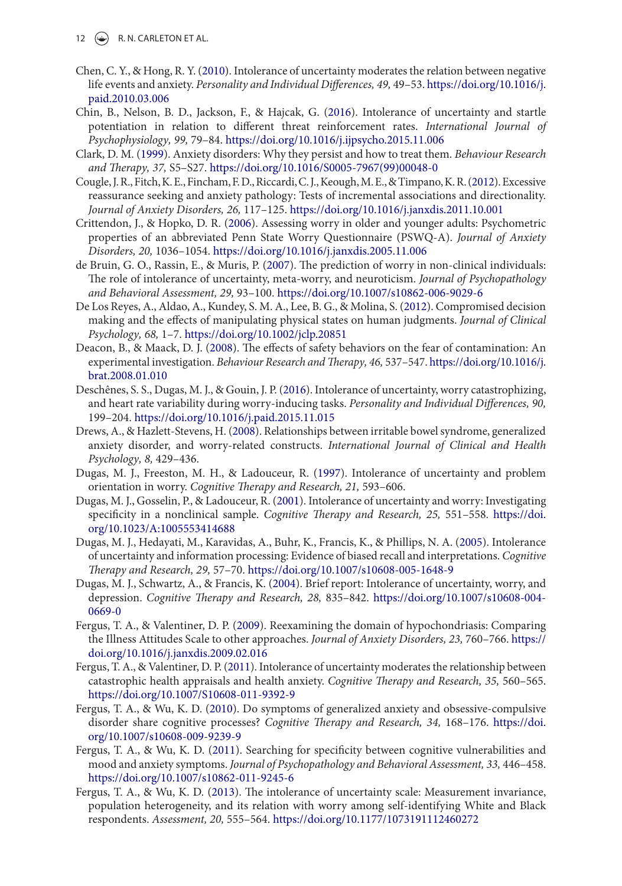12  $\left(\frac{1}{2}\right)$  R. N. CARLETON ET AL.

- Chen, C. Y., & Hong, R. Y. (2010). Intolerance of uncertainty moderates the relation between negative life events and anxiety. Personality and Individual Differences, 49, 49–53. https://doi.org/10.1016/j. paid.2010.03.006
- Chin, B., Nelson, B. D., Jackson, F., & Hajcak, G. (2016). Intolerance of uncertainty and startle potentiation in relation to different threat reinforcement rates. International Journal of Psychophysiology, 99, 79–84. https://doi.org/10.1016/j.ijpsycho.2015.11.006
- Clark, D. M. (1999). Anxiety disorders: Why they persist and how to treat them. Behaviour Research and Therapy, 37, S5–S27. https://doi.org/10.1016/S0005-7967(99)00048-0
- Cougle, J. R., Fitch, K. E., Fincham, F. D., Riccardi, C. J., Keough, M. E., & Timpano, K. R. (2012). Excessive reassurance seeking and anxiety pathology: Tests of incremental associations and directionality. Journal of Anxiety Disorders, 26, 117–125. https://doi.org/10.1016/j.janxdis.2011.10.001
- Crittendon, J., & Hopko, D. R. (2006). Assessing worry in older and younger adults: Psychometric properties of an abbreviated Penn State Worry Questionnaire (PSWQ-A). Journal of Anxiety Disorders, 20, 1036–1054. https://doi.org/10.1016/j.janxdis.2005.11.006
- de Bruin, G. O., Rassin, E., & Muris, P. (2007). The prediction of worry in non-clinical individuals: The role of intolerance of uncertainty, meta-worry, and neuroticism. Journal of Psychopathology and Behavioral Assessment, 29, 93–100. https://doi.org/10.1007/s10862-006-9029-6
- De Los Reyes, A., Aldao, A., Kundey, S. M. A., Lee, B. G., & Molina, S. (2012). Compromised decision making and the effects of manipulating physical states on human judgments. Journal of Clinical Psychology, 68, 1–7. https://doi.org/10.1002/jclp.20851
- Deacon, B., & Maack, D. J. (2008). The effects of safety behaviors on the fear of contamination: An experimental investigation. Behaviour Research and Therapy, 46, 537–547. https://doi.org/10.1016/j. brat.2008.01.010
- Deschênes, S. S., Dugas, M. J., & Gouin, J. P. (2016). Intolerance of uncertainty, worry catastrophizing, and heart rate variability during worry-inducing tasks. Personality and Individual Differences, 90, 199–204. https://doi.org/10.1016/j.paid.2015.11.015
- Drews, A., & Hazlett-Stevens, H. (2008). Relationships between irritable bowel syndrome, generalized anxiety disorder, and worry-related constructs. International Journal of Clinical and Health Psychology, 8, 429–436.
- Dugas, M. J., Freeston, M. H., & Ladouceur, R. (1997). Intolerance of uncertainty and problem orientation in worry. Cognitive Therapy and Research, 21, 593–606.
- Dugas, M. J., Gosselin, P., & Ladouceur, R. (2001). Intolerance of uncertainty and worry: Investigating specificity in a nonclinical sample. Cognitive Therapy and Research, 25, 551-558. https://doi. org/10.1023/A:1005553414688
- Dugas, M. J., Hedayati, M., Karavidas, A., Buhr, K., Francis, K., & Phillips, N. A. (2005). Intolerance of uncertainty and information processing: Evidence of biased recall and interpretations. Cognitive Therapy and Research, 29, 57–70. https://doi.org/10.1007/s10608-005-1648-9
- Dugas, M. J., Schwartz, A., & Francis, K. (2004). Brief report: Intolerance of uncertainty, worry, and depression. Cognitive Therapy and Research, 28, 835–842. https://doi.org/10.1007/s10608-004- 0669-0
- Fergus, T. A., & Valentiner, D. P. (2009). Reexamining the domain of hypochondriasis: Comparing the Illness Attitudes Scale to other approaches. Journal of Anxiety Disorders, 23, 760–766. https:// doi.org/10.1016/j.janxdis.2009.02.016
- Fergus, T. A., & Valentiner, D. P. (2011). Intolerance of uncertainty moderates the relationship between catastrophic health appraisals and health anxiety. Cognitive Therapy and Research, 35, 560–565. https://doi.org/10.1007/S10608-011-9392-9
- Fergus, T. A., & Wu, K. D. (2010). Do symptoms of generalized anxiety and obsessive-compulsive disorder share cognitive processes? Cognitive Therapy and Research, 34, 168–176. https://doi. org/10.1007/s10608-009-9239-9
- Fergus, T. A., & Wu, K. D. (2011). Searching for specificity between cognitive vulnerabilities and mood and anxiety symptoms. Journal of Psychopathology and Behavioral Assessment, 33, 446–458. https://doi.org/10.1007/s10862-011-9245-6
- Fergus, T. A., & Wu, K. D. (2013). The intolerance of uncertainty scale: Measurement invariance, population heterogeneity, and its relation with worry among self-identifying White and Black respondents. Assessment, 20, 555–564. https://doi.org/10.1177/1073191112460272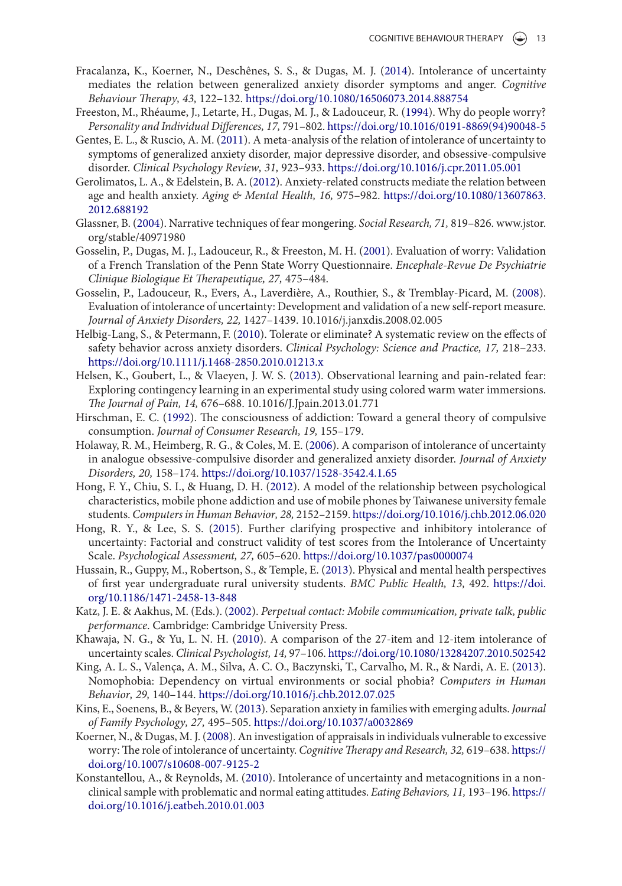- Fracalanza, K., Koerner, N., Deschênes, S. S., & Dugas, M. J. (2014). Intolerance of uncertainty mediates the relation between generalized anxiety disorder symptoms and anger. Cognitive Behaviour Therapy, 43, 122–132. https://doi.org/10.1080/16506073.2014.888754
- Freeston, M., Rhéaume, J., Letarte, H., Dugas, M. J., & Ladouceur, R. (1994). Why do people worry? Personality and Individual Differences, 17, 791–802. https://doi.org/10.1016/0191-8869(94)90048-5
- Gentes, E. L., & Ruscio, A. M. (2011). A meta-analysis of the relation of intolerance of uncertainty to symptoms of generalized anxiety disorder, major depressive disorder, and obsessive-compulsive disorder. Clinical Psychology Review, 31, 923–933. https://doi.org/10.1016/j.cpr.2011.05.001
- Gerolimatos, L. A., & Edelstein, B. A. (2012). Anxiety-related constructs mediate the relation between age and health anxiety. Aging & Mental Health, 16, 975-982. https://doi.org/10.1080/13607863. 2012.688192
- Glassner, B. (2004). Narrative techniques of fear mongering. Social Research, 71, 819–826. www.jstor. org/stable/40971980
- Gosselin, P., Dugas, M. J., Ladouceur, R., & Freeston, M. H. (2001). Evaluation of worry: Validation of a French Translation of the Penn State Worry Questionnaire. Encephale-Revue De Psychiatrie Clinique Biologique Et Therapeutique, 27, 475–484.
- Gosselin, P., Ladouceur, R., Evers, A., Laverdière, A., Routhier, S., & Tremblay-Picard, M. (2008). Evaluation of intolerance of uncertainty: Development and validation of a new self-report measure. Journal of Anxiety Disorders, 22, 1427–1439. 10.1016/j.janxdis.2008.02.005
- Helbig-Lang, S., & Petermann, F. (2010). Tolerate or eliminate? A systematic review on the effects of safety behavior across anxiety disorders. Clinical Psychology: Science and Practice, 17, 218–233. https://doi.org/10.1111/j.1468-2850.2010.01213.x
- Helsen, K., Goubert, L., & Vlaeyen, J. W. S. (2013). Observational learning and pain-related fear: Exploring contingency learning in an experimental study using colored warm water immersions. The Journal of Pain, 14, 676–688. 10.1016/J.Jpain.2013.01.771
- Hirschman, E. C. (1992). The consciousness of addiction: Toward a general theory of compulsive consumption. Journal of Consumer Research, 19, 155–179.
- Holaway, R. M., Heimberg, R. G., & Coles, M. E. (2006). A comparison of intolerance of uncertainty in analogue obsessive-compulsive disorder and generalized anxiety disorder. Journal of Anxiety Disorders, 20, 158–174. https://doi.org/10.1037/1528-3542.4.1.65
- Hong, F. Y., Chiu, S. I., & Huang, D. H. (2012). A model of the relationship between psychological characteristics, mobile phone addiction and use of mobile phones by Taiwanese university female students. Computers in Human Behavior, 28, 2152–2159. https://doi.org/10.1016/j.chb.2012.06.020
- Hong, R. Y., & Lee, S. S. (2015). Further clarifying prospective and inhibitory intolerance of uncertainty: Factorial and construct validity of test scores from the Intolerance of Uncertainty Scale. Psychological Assessment, 27, 605–620. https://doi.org/10.1037/pas0000074
- Hussain, R., Guppy, M., Robertson, S., & Temple, E. (2013). Physical and mental health perspectives of first year undergraduate rural university students. BMC Public Health, 13, 492. https://doi. org/10.1186/1471-2458-13-848
- Katz, J. E. & Aakhus, M. (Eds.). (2002). Perpetual contact: Mobile communication, private talk, public performance. Cambridge: Cambridge University Press.
- Khawaja, N. G., & Yu, L. N. H. (2010). A comparison of the 27-item and 12-item intolerance of uncertainty scales. Clinical Psychologist, 14, 97–106. https://doi.org/10.1080/13284207.2010.502542
- King, A. L. S., Valença, A. M., Silva, A. C. O., Baczynski, T., Carvalho, M. R., & Nardi, A. E. (2013). Nomophobia: Dependency on virtual environments or social phobia? Computers in Human Behavior, 29, 140–144. https://doi.org/10.1016/j.chb.2012.07.025
- Kins, E., Soenens, B., & Beyers, W. (2013). Separation anxiety in families with emerging adults. Journal of Family Psychology, 27, 495–505. https://doi.org/10.1037/a0032869
- Koerner, N., & Dugas, M. J. (2008). An investigation of appraisals in individuals vulnerable to excessive worry: The role of intolerance of uncertainty. Cognitive Therapy and Research, 32, 619–638. https:// doi.org/10.1007/s10608-007-9125-2
- Konstantellou, A., & Reynolds, M. (2010). Intolerance of uncertainty and metacognitions in a nonclinical sample with problematic and normal eating attitudes. Eating Behaviors, 11, 193–196. https:// doi.org/10.1016/j.eatbeh.2010.01.003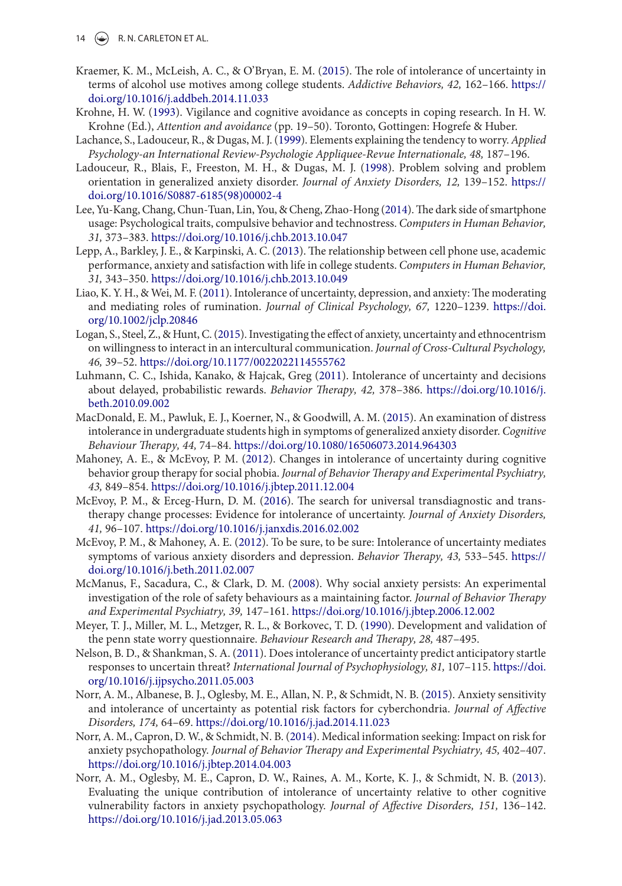- 14  $\left(\rightarrow\right)$  R. N. CARLETON ET AL.
- Kraemer, K. M., McLeish, A. C., & O'Bryan, E. M. (2015). The role of intolerance of uncertainty in terms of alcohol use motives among college students. Addictive Behaviors, 42, 162–166. https:// doi.org/10.1016/j.addbeh.2014.11.033
- Krohne, H. W. (1993). Vigilance and cognitive avoidance as concepts in coping research. In H. W. Krohne (Ed.), Attention and avoidance (pp. 19–50). Toronto, Gottingen: Hogrefe & Huber.
- Lachance, S., Ladouceur, R., & Dugas, M. J. (1999). Elements explaining the tendency to worry. Applied Psychology-an International Review-Psychologie Appliquee-Revue Internationale, 48, 187–196.
- Ladouceur, R., Blais, F., Freeston, M. H., & Dugas, M. J. (1998). Problem solving and problem orientation in generalized anxiety disorder. Journal of Anxiety Disorders, 12, 139–152. https:// doi.org/10.1016/S0887-6185(98)00002-4
- Lee, Yu-Kang, Chang, Chun-Tuan, Lin, You, & Cheng, Zhao-Hong (2014). The dark side of smartphone usage: Psychological traits, compulsive behavior and technostress. Computers in Human Behavior, 31, 373–383. https://doi.org/10.1016/j.chb.2013.10.047
- Lepp, A., Barkley, J. E., & Karpinski, A. C. (2013). The relationship between cell phone use, academic performance, anxiety and satisfaction with life in college students. Computers in Human Behavior, 31, 343–350. https://doi.org/10.1016/j.chb.2013.10.049
- Liao, K. Y. H., & Wei, M. F. (2011). Intolerance of uncertainty, depression, and anxiety: The moderating and mediating roles of rumination. Journal of Clinical Psychology, 67, 1220–1239. https://doi. org/10.1002/jclp.20846
- Logan, S., Steel, Z., & Hunt, C. (2015). Investigating the effect of anxiety, uncertainty and ethnocentrism on willingness to interact in an intercultural communication. Journal of Cross-Cultural Psychology, 46, 39–52. https://doi.org/10.1177/0022022114555762
- Luhmann, C. C., Ishida, Kanako, & Hajcak, Greg (2011). Intolerance of uncertainty and decisions about delayed, probabilistic rewards. Behavior Therapy, 42, 378–386. https://doi.org/10.1016/j. beth.2010.09.002
- MacDonald, E. M., Pawluk, E. J., Koerner, N., & Goodwill, A. M. (2015). An examination of distress intolerance in undergraduate students high in symptoms of generalized anxiety disorder. Cognitive Behaviour Therapy, 44, 74–84. https://doi.org/10.1080/16506073.2014.964303
- Mahoney, A. E., & McEvoy, P. M. (2012). Changes in intolerance of uncertainty during cognitive behavior group therapy for social phobia. Journal of Behavior Therapy and Experimental Psychiatry, 43, 849–854. https://doi.org/10.1016/j.jbtep.2011.12.004
- McEvoy, P. M., & Erceg-Hurn, D. M. (2016). The search for universal transdiagnostic and transtherapy change processes: Evidence for intolerance of uncertainty. Journal of Anxiety Disorders, 41, 96–107. https://doi.org/10.1016/j.janxdis.2016.02.002
- McEvoy, P. M., & Mahoney, A. E. (2012). To be sure, to be sure: Intolerance of uncertainty mediates symptoms of various anxiety disorders and depression. Behavior Therapy, 43, 533–545. https:// doi.org/10.1016/j.beth.2011.02.007
- McManus, F., Sacadura, C., & Clark, D. M. (2008). Why social anxiety persists: An experimental investigation of the role of safety behaviours as a maintaining factor. Journal of Behavior Therapy and Experimental Psychiatry, 39, 147–161. https://doi.org/10.1016/j.jbtep.2006.12.002
- Meyer, T. J., Miller, M. L., Metzger, R. L., & Borkovec, T. D. (1990). Development and validation of the penn state worry questionnaire. Behaviour Research and Therapy, 28, 487-495.
- Nelson, B. D., & Shankman, S. A. (2011). Does intolerance of uncertainty predict anticipatory startle responses to uncertain threat? International Journal of Psychophysiology, 81, 107–115. https://doi. org/10.1016/j.ijpsycho.2011.05.003
- Norr, A. M., Albanese, B. J., Oglesby, M. E., Allan, N. P., & Schmidt, N. B. (2015). Anxiety sensitivity and intolerance of uncertainty as potential risk factors for cyberchondria. Journal of Affective Disorders, 174, 64–69. https://doi.org/10.1016/j.jad.2014.11.023
- Norr, A. M., Capron, D. W., & Schmidt, N. B. (2014). Medical information seeking: Impact on risk for anxiety psychopathology. Journal of Behavior Therapy and Experimental Psychiatry, 45, 402–407. https://doi.org/10.1016/j.jbtep.2014.04.003
- Norr, A. M., Oglesby, M. E., Capron, D. W., Raines, A. M., Korte, K. J., & Schmidt, N. B. (2013). Evaluating the unique contribution of intolerance of uncertainty relative to other cognitive vulnerability factors in anxiety psychopathology. Journal of Affective Disorders, 151, 136–142. https://doi.org/10.1016/j.jad.2013.05.063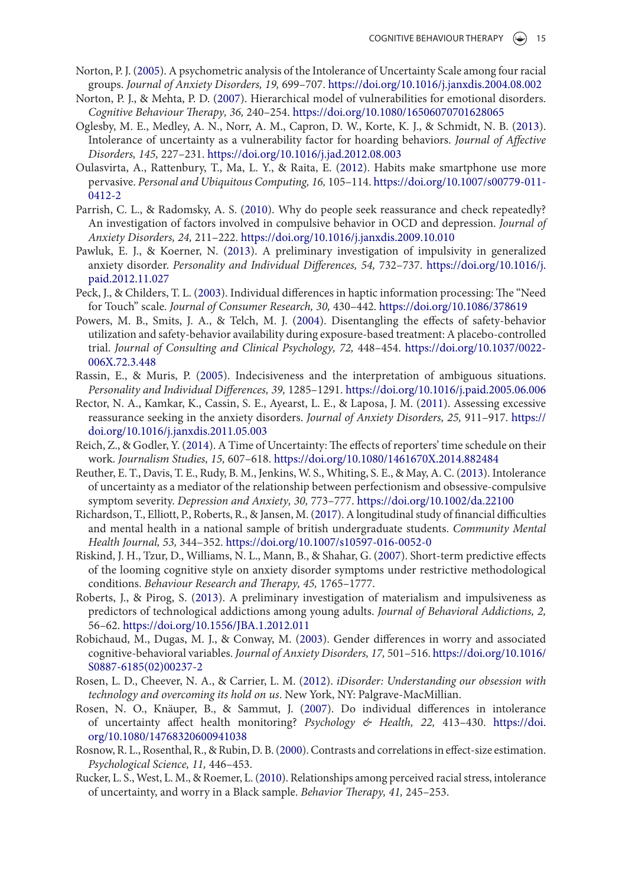- Norton, P. J. (2005). A psychometric analysis of the Intolerance of Uncertainty Scale among four racial groups. Journal of Anxiety Disorders, 19, 699–707. https://doi.org/10.1016/j.janxdis.2004.08.002
- Norton, P. J., & Mehta, P. D. (2007). Hierarchical model of vulnerabilities for emotional disorders. Cognitive Behaviour Therapy, 36, 240–254. https://doi.org/10.1080/16506070701628065
- Oglesby, M. E., Medley, A. N., Norr, A. M., Capron, D. W., Korte, K. J., & Schmidt, N. B. (2013). Intolerance of uncertainty as a vulnerability factor for hoarding behaviors. Journal of Affective Disorders, 145, 227–231. https://doi.org/10.1016/j.jad.2012.08.003
- Oulasvirta, A., Rattenbury, T., Ma, L. Y., & Raita, E. (2012). Habits make smartphone use more pervasive. Personal and Ubiquitous Computing, 16, 105–114. https://doi.org/10.1007/s00779-011- 0412-2
- Parrish, C. L., & Radomsky, A. S. (2010). Why do people seek reassurance and check repeatedly? An investigation of factors involved in compulsive behavior in OCD and depression. Journal of Anxiety Disorders, 24, 211–222. https://doi.org/10.1016/j.janxdis.2009.10.010
- Pawluk, E. J., & Koerner, N. (2013). A preliminary investigation of impulsivity in generalized anxiety disorder. Personality and Individual Differences, 54, 732–737. https://doi.org/10.1016/j. paid.2012.11.027
- Peck, J., & Childers, T. L. (2003). Individual differences in haptic information processing: The "Need for Touch" scale. Journal of Consumer Research, 30, 430–442. https://doi.org/10.1086/378619
- Powers, M. B., Smits, J. A., & Telch, M. J. (2004). Disentangling the effects of safety-behavior utilization and safety-behavior availability during exposure-based treatment: A placebo-controlled trial. Journal of Consulting and Clinical Psychology, 72, 448–454. https://doi.org/10.1037/0022- 006X.72.3.448
- Rassin, E., & Muris, P. (2005). Indecisiveness and the interpretation of ambiguous situations. Personality and Individual Differences, 39, 1285–1291. https://doi.org/10.1016/j.paid.2005.06.006
- Rector, N. A., Kamkar, K., Cassin, S. E., Ayearst, L. E., & Laposa, J. M. (2011). Assessing excessive reassurance seeking in the anxiety disorders. Journal of Anxiety Disorders, 25, 911-917. https:// doi.org/10.1016/j.janxdis.2011.05.003
- Reich, Z., & Godler, Y. (2014). A Time of Uncertainty: The effects of reporters' time schedule on their work. Journalism Studies, 15, 607–618. https://doi.org/10.1080/1461670X.2014.882484
- Reuther, E. T., Davis, T. E., Rudy, B. M., Jenkins, W. S., Whiting, S. E., & May, A. C. (2013). Intolerance of uncertainty as a mediator of the relationship between perfectionism and obsessive-compulsive symptom severity. Depression and Anxiety, 30, 773–777. https://doi.org/10.1002/da.22100
- Richardson, T., Elliott, P., Roberts, R., & Jansen, M. (2017). A longitudinal study of financial difficulties and mental health in a national sample of british undergraduate students. Community Mental Health Journal, 53, 344–352. https://doi.org/10.1007/s10597-016-0052-0
- Riskind, J. H., Tzur, D., Williams, N. L., Mann, B., & Shahar, G. (2007). Short-term predictive effects of the looming cognitive style on anxiety disorder symptoms under restrictive methodological conditions. Behaviour Research and Therapy, 45, 1765–1777.
- Roberts, J., & Pirog, S. (2013). A preliminary investigation of materialism and impulsiveness as predictors of technological addictions among young adults. Journal of Behavioral Addictions, 2, 56–62. https://doi.org/10.1556/JBA.1.2012.011
- Robichaud, M., Dugas, M. J., & Conway, M. (2003). Gender differences in worry and associated cognitive-behavioral variables. Journal of Anxiety Disorders, 17, 501–516. https://doi.org/10.1016/ S0887-6185(02)00237-2
- Rosen, L. D., Cheever, N. A., & Carrier, L. M. (2012). iDisorder: Understanding our obsession with technology and overcoming its hold on us. New York, NY: Palgrave-MacMillian.
- Rosen, N. O., Knäuper, B., & Sammut, J. (2007). Do individual differences in intolerance of uncertainty affect health monitoring? Psychology & Health, 22, 413–430. https://doi. org/10.1080/14768320600941038
- Rosnow, R. L., Rosenthal, R., & Rubin, D. B. (2000). Contrasts and correlations in effect-size estimation. Psychological Science, 11, 446–453.
- Rucker, L. S., West, L. M., & Roemer, L. (2010). Relationships among perceived racial stress, intolerance of uncertainty, and worry in a Black sample. Behavior Therapy, 41, 245–253.